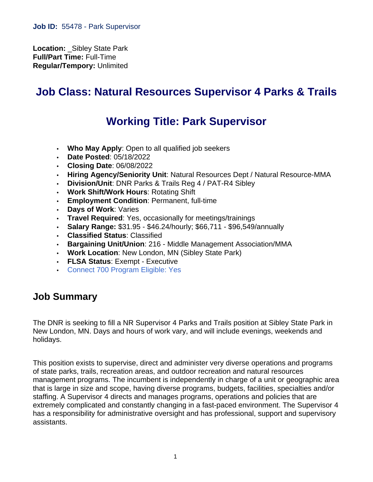**Location:** \_Sibley State Park **Full/Part Time:** Full-Time **Regular/Tempory:** Unlimited

# **Job Class: Natural Resources Supervisor 4 Parks & Trails**

# **Working Title: Park Supervisor**

- **Who May Apply**: Open to all qualified job seekers
- **Date Posted**: 05/18/2022
- **Closing Date**: 06/08/2022
- **Hiring Agency/Seniority Unit**: Natural Resources Dept / Natural Resource-MMA
- **Division/Unit**: DNR Parks & Trails Reg 4 / PAT-R4 Sibley
- **Work Shift/Work Hours**: Rotating Shift
- **Employment Condition**: Permanent, full-time
- **Days of Work**: Varies
- **Travel Required**: Yes, occasionally for meetings/trainings
- **Salary Range:** \$31.95 \$46.24/hourly; \$66,711 \$96,549/annually
- **Classified Status**: Classified
- **Bargaining Unit/Union**: 216 Middle Management Association/MMA
- **Work Location**: New London, MN (Sibley State Park)
- **FLSA Status**: Exempt Executive
- [Connect 700 Program Eligible: Yes](https://mn.gov/mmb/careers/diverse-workforce/people-with-disabilities/connect700/)

#### **Job Summary**

The DNR is seeking to fill a NR Supervisor 4 Parks and Trails position at Sibley State Park in New London, MN. Days and hours of work vary, and will include evenings, weekends and holidays.

This position exists to supervise, direct and administer very diverse operations and programs of state parks, trails, recreation areas, and outdoor recreation and natural resources management programs. The incumbent is independently in charge of a unit or geographic area that is large in size and scope, having diverse programs, budgets, facilities, specialties and/or staffing. A Supervisor 4 directs and manages programs, operations and policies that are extremely complicated and constantly changing in a fast-paced environment. The Supervisor 4 has a responsibility for administrative oversight and has professional, support and supervisory assistants.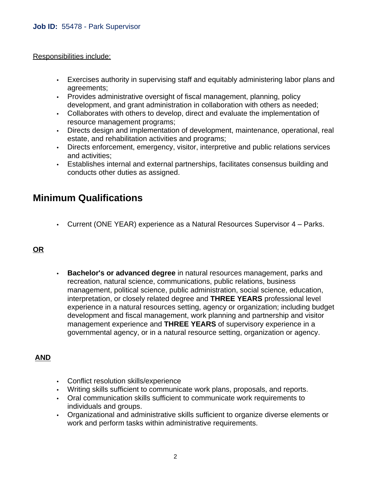#### Responsibilities include:

- Exercises authority in supervising staff and equitably administering labor plans and agreements;
- Provides administrative oversight of fiscal management, planning, policy development, and grant administration in collaboration with others as needed;
- Collaborates with others to develop, direct and evaluate the implementation of resource management programs;
- Directs design and implementation of development, maintenance, operational, real estate, and rehabilitation activities and programs;
- Directs enforcement, emergency, visitor, interpretive and public relations services and activities;
- Establishes internal and external partnerships, facilitates consensus building and conducts other duties as assigned.

### **Minimum Qualifications**

• Current (ONE YEAR) experience as a Natural Resources Supervisor 4 – Parks.

#### **OR**

• **Bachelor's or advanced degree** in natural resources management, parks and recreation, natural science, communications, public relations, business management, political science, public administration, social science, education, interpretation, or closely related degree and **THREE YEARS** professional level experience in a natural resources setting, agency or organization; including budget development and fiscal management, work planning and partnership and visitor management experience and **THREE YEARS** of supervisory experience in a governmental agency, or in a natural resource setting, organization or agency.

#### **AND**

- Conflict resolution skills/experience
- Writing skills sufficient to communicate work plans, proposals, and reports.
- Oral communication skills sufficient to communicate work requirements to individuals and groups.
- Organizational and administrative skills sufficient to organize diverse elements or work and perform tasks within administrative requirements.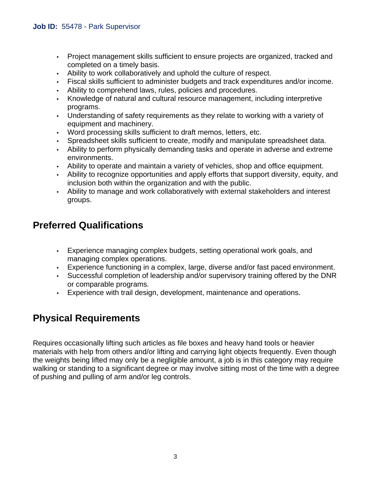- Project management skills sufficient to ensure projects are organized, tracked and completed on a timely basis.
- Ability to work collaboratively and uphold the culture of respect.
- Fiscal skills sufficient to administer budgets and track expenditures and/or income.
- Ability to comprehend laws, rules, policies and procedures.
- Knowledge of natural and cultural resource management, including interpretive programs.
- Understanding of safety requirements as they relate to working with a variety of equipment and machinery.
- Word processing skills sufficient to draft memos, letters, etc.
- Spreadsheet skills sufficient to create, modify and manipulate spreadsheet data.
- Ability to perform physically demanding tasks and operate in adverse and extreme environments.
- Ability to operate and maintain a variety of vehicles, shop and office equipment.
- Ability to recognize opportunities and apply efforts that support diversity, equity, and inclusion both within the organization and with the public.
- Ability to manage and work collaboratively with external stakeholders and interest groups.

### **Preferred Qualifications**

- Experience managing complex budgets, setting operational work goals, and managing complex operations.
- Experience functioning in a complex, large, diverse and/or fast paced environment.
- Successful completion of leadership and/or supervisory training offered by the DNR or comparable programs.
- Experience with trail design, development, maintenance and operations.

# **Physical Requirements**

Requires occasionally lifting such articles as file boxes and heavy hand tools or heavier materials with help from others and/or lifting and carrying light objects frequently. Even though the weights being lifted may only be a negligible amount, a job is in this category may require walking or standing to a significant degree or may involve sitting most of the time with a degree of pushing and pulling of arm and/or leg controls.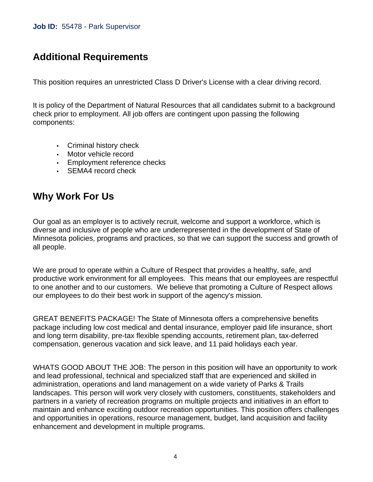## **Additional Requirements**

This position requires an unrestricted Class D Driver's License with a clear driving record.

It is policy of the Department of Natural Resources that all candidates submit to a background check prior to employment. All job offers are contingent upon passing the following components:

- Criminal history check
- Motor vehicle record
- Employment reference checks
- SEMA4 record check

### **Why Work For Us**

Our goal as an employer is to actively recruit, welcome and support a workforce, which is diverse and inclusive of people who are underrepresented in the development of State of Minnesota policies, programs and practices, so that we can support the success and growth of all people.

We are proud to operate within a Culture of Respect that provides a healthy, safe, and productive work environment for all employees. This means that our employees are respectful to one another and to our customers. We believe that promoting a Culture of Respect allows our employees to do their best work in support of the agency's mission.

GREAT BENEFITS PACKAGE! The State of Minnesota offers a comprehensive benefits package including low cost medical and dental insurance, employer paid life insurance, short and long term disability, pre-tax flexible spending accounts, retirement plan, tax-deferred compensation, generous vacation and sick leave, and 11 paid holidays each year.

WHATS GOOD ABOUT THE JOB: The person in this position will have an opportunity to work and lead professional, technical and specialized staff that are experienced and skilled in administration, operations and land management on a wide variety of Parks & Trails landscapes. This person will work very closely with customers, constituents, stakeholders and partners in a variety of recreation programs on multiple projects and initiatives in an effort to maintain and enhance exciting outdoor recreation opportunities. This position offers challenges and opportunities in operations, resource management, budget, land acquisition and facility enhancement and development in multiple programs.